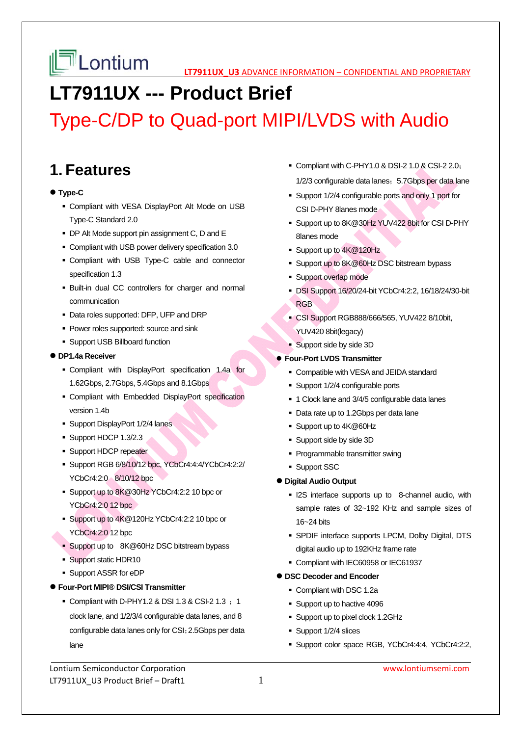# **LT7911UX --- Product Brief**

# Type-C/DP to Quad-port MIPI/LVDS with Audio

## **1. Features**

## **Type-C**

- Compliant with VESA DisplayPort Alt Mode on USB Type-C Standard 2.0
- DP Alt Mode support pin assignment C, D and E
- Compliant with USB power delivery specification 3.0
- Compliant with USB Type-C cable and connector specification 1.3
- Built-in dual CC controllers for charger and normal communication
- Data roles supported: DFP, UFP and DRP
- **Power roles supported: source and sink**
- **Support USB Billboard function**

### **DP1.4a Receiver**

- Compliant with DisplayPort specification 1.4a for 1.62Gbps, 2.7Gbps, 5.4Gbps and 8.1Gbps
- Compliant with Embedded DisplayPort specification version 1.4b
- **Support DisplayPort 1/2/4 lanes**
- Support HDCP 1.3/2.3
- **Support HDCP repeater**
- Support RGB 6/8/10/12 bpc, YCbCr4:4:4/YCbCr4:2:2/ YCbCr4:2:0 8/10/12 bpc
- Support up to 8K@30Hz YCbCr4:2:2 10 bpc or YCbCr4:2:0 12 bpc
- Support up to 4K@120Hz YCbCr4:2:2 10 bpc or YCbCr4:2:0 12 bpc
- Support up to 8K@60Hz DSC bitstream bypass
- Support static HDR10
- Support ASSR for eDP
- **Four-Port MIPI® DSI/CSI Transmitter** 
	- Compliant with D-PHY1.2 & DSI 1.3 & CSI-2 1.3  $\div$  1 clock lane, and 1/2/3/4 configurable data lanes, and 8 configurable data lanes only for CSI;2.5Gbps per data lane
- Compliant with C-PHY1.0 & DSI-2 1.0 & CSI-2 2.0; 1/2/3 configurable data lanes; 5.7Gbps per data lane
- Support 1/2/4 configurable ports and only 1 port for CSI D-PHY 8lanes mode
- Support up to 8K@30Hz YUV422 8bit for CSI D-PHY 8lanes mode
- Support up to 4K@120Hz
- Support up to 8K@60Hz DSC bitstream bypass
- **Support overlap mode**
- DSI Support 16/20/24-bit YCbCr4:2:2, 16/18/24/30-bit RGB
- CSI Support RGB888/666/565, YUV422 8/10bit, YUV420 8bit(legacy)
- Support side by side 3D

### **Four-Port LVDS Transmitter**

- Compatible with VESA and JEIDA standard
- Support 1/2/4 configurable ports
- 1 Clock lane and 3/4/5 configurable data lanes
- Data rate up to 1.2Gbps per data lane
- Support up to 4K@60Hz
- Support side by side 3D
- Programmable transmitter swing
- **Support SSC**

## **Digital Audio Output**

- **II2S** interface supports up to 8-channel audio, with sample rates of 32~192 KHz and sample sizes of 16~24 bits
- SPDIF interface supports LPCM, Dolby Digital, DTS digital audio up to 192KHz frame rate
- Compliant with IEC60958 or IEC61937

## **DSC Decoder and Encoder**

- Compliant with DSC 1.2a
- Support up to hactive 4096
- Support up to pixel clock 1.2GHz
- Support 1/2/4 slices
- Support color space RGB, YCbCr4:4:4, YCbCr4:2:2,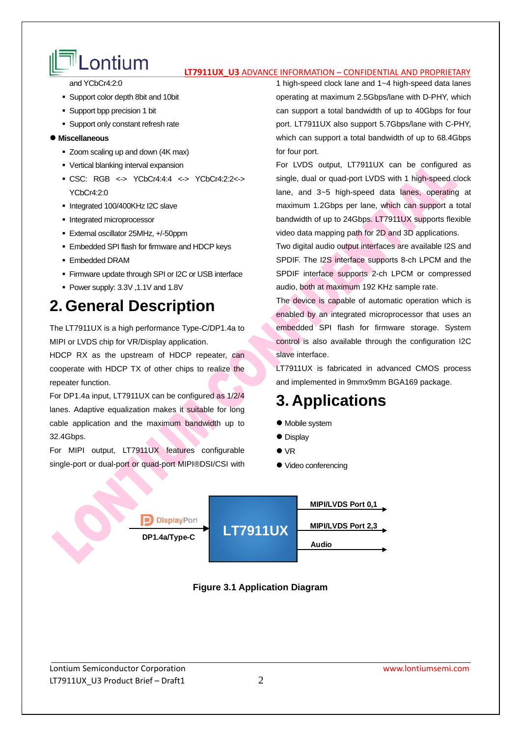# **LONTIUM**<br> **LT7911UX U3** ADVANCE INFORMATION – CONFIDENTIAL AND PROPRIETARY

and YCbCr4:2:0

- Support color depth 8bit and 10bit
- Support bpp precision 1 bit
- **Support only constant refresh rate**

### **Miscellaneous**

- Zoom scaling up and down (4K max)
- Vertical blanking interval expansion
- CSC: RGB <-> YCbCr4:4:4 <-> YCbCr4:2:2<-> YCbCr4:2:0
- Integrated 100/400KHz I2C slave
- **Integrated microprocessor**
- External oscillator 25MHz, +/-50ppm
- **Embedded SPI flash for firmware and HDCP keys**
- Embedded DRAM
- **Firmware update through SPI or I2C or USB interface**
- Power supply: 3.3V ,1.1V and 1.8V

## **2. General Description**

The LT7911UX is a high performance Type-C/DP1.4a to MIPI or LVDS chip for VR/Display application.

HDCP RX as the upstream of HDCP repeater, can cooperate with HDCP TX of other chips to realize the repeater function.

For DP1.4a input, LT7911UX can be configured as 1/2/4 lanes. Adaptive equalization makes it suitable for long cable application and the maximum bandwidth up to 32.4Gbps.

For MIPI output, LT7911UX features configurable single-port or dual-port or quad-port MIPI®DSI/CSI with 1 high-speed clock lane and 1~4 high-speed data lanes operating at maximum 2.5Gbps/lane with D-PHY, which can support a total bandwidth of up to 40Gbps for four port. LT7911UX also support 5.7Gbps/lane with C-PHY, which can support a total bandwidth of up to 68.4Gbps for four port.

For LVDS output, LT7911UX can be configured as single, dual or quad-port LVDS with 1 high-speed clock lane, and 3~5 high-speed data lanes, operating at maximum 1.2Gbps per lane, which can support a total bandwidth of up to 24Gbps. LT7911UX supports flexible video data mapping path for 2D and 3D applications.

Two digital audio output interfaces are available I2S and SPDIF. The I2S interface supports 8-ch LPCM and the SPDIF interface supports 2-ch LPCM or compressed audio, both at maximum 192 KHz sample rate.

The device is capable of automatic operation which is enabled by an integrated microprocessor that uses an embedded SPI flash for firmware storage. System control is also available through the configuration I2C slave interface.

LT7911UX is fabricated in advanced CMOS process and implemented in 9mmx9mm BGA169 package.

## **3. Applications**

- Mobile system
- Display
- $\bullet$  VR
- Video conferencing



**Figure 3.1 Application Diagram**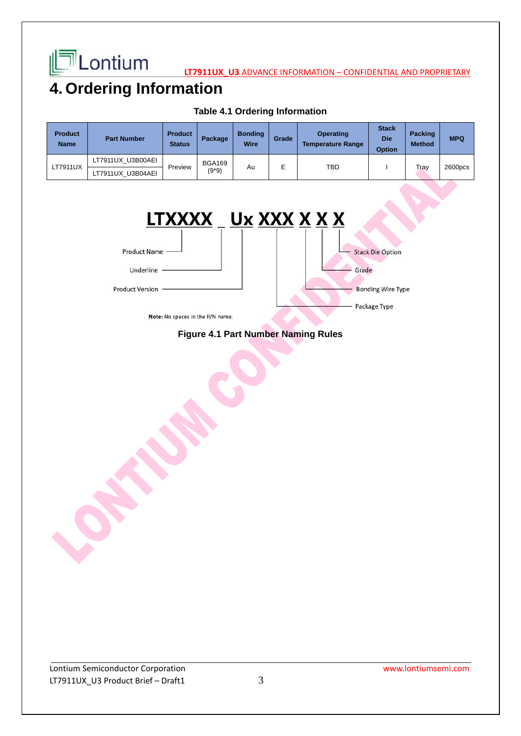

**LATTICONTIUM** 

## **4. Ordering Information**

| <b>Product</b><br><b>Name</b> | <b>Part Number</b> | <b>Product</b><br><b>Status</b> | Package                  | <b>Bonding</b><br><b>Wire</b> | Grade | <b>Operating</b><br><b>Temperature Range</b> | <b>Stack</b><br><b>Die</b><br><b>Option</b> | <b>Packing</b><br><b>Method</b> | <b>MPQ</b> |
|-------------------------------|--------------------|---------------------------------|--------------------------|-------------------------------|-------|----------------------------------------------|---------------------------------------------|---------------------------------|------------|
| LT7911UX                      | LT7911UX U3B00AEI  | Preview                         | <b>BGA169</b><br>$(9*9)$ | Au                            | E     | TBD                                          |                                             | Tray                            | 2600pcs    |
|                               | LT7911UX U3B04AEI  |                                 |                          |                               |       |                                              |                                             |                                 |            |

**Table 4.1 Ordering Information** 



Note: No spaces in the P/N name.

## **Figure 4.1 Part Number Naming Rules**